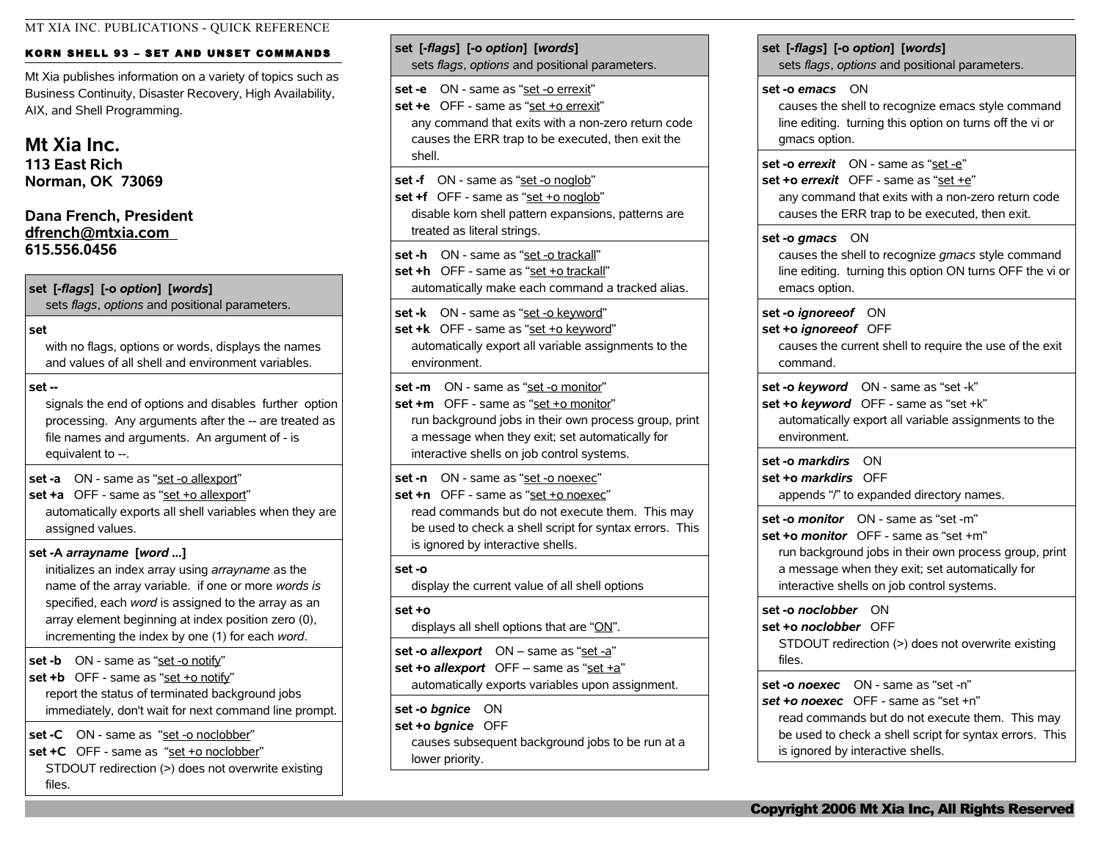## KORN SHELL 93 - SET AND UNSET COMMANDS

Mt Xia publishes information on a variety of topics such as Business Continuity, Disaster Recovery, High Availability, AIX, and Shell Programming.

# **Mt Xia Inc.**

**113 East Rich Norman, OK 73069**

## **Dana French, President [dfrench@mtxia.com](mailto:dfrench@mtxia.com)  615.556.0456**

## **set [-***flags***] [-o** *option***] [***words***]**

sets *flags*, *options* and positional parameters.

### **set**

with no flags, options or words, displays the names and values of all shell and environment variables.

### **set --**

signals the end of options and disables further option processing. Any arguments after the -- are treated as file names and arguments. An argument of - is equivalent to --.

**set -a** ON - same as "set -o allexport"

#### **set +a** OFF - same as "set +o allexport"

automatically exports all shell variables when they are assigned values.

## **set -A** *arrayname* **[***word ...***]**

initializes an index array using *arrayname* as the name of the array variable. if one or more *words is* specified, each *word* is assigned to the array as an array element beginning at index position zero (0), incrementing the index by one (1) for each *word*.

**set -b** ON - same as "set -o notify" **set +b** OFF - same as "set +o notify" report the status of terminated background jobs

immediately, don't wait for next command line prompt.

**set -C** ON - same as "set -o noclobber"

**set +C** OFF - same as "set +o noclobber" STDOUT redirection (>) does not overwrite existing files.

## **set [-***flags***] [-o** *option***] [***words***]** sets *flags*, *options* and positional parameters. **set -e** ON - same as "set -o errexit" **set +e** OFF - same as "set +o errexit" any command that exits with a non-zero return code causes the ERR trap to be executed, then exit the shell. **set -f** ON - same as "set -o noglob" **set +f** OFF - same as "set +o noglob" disable korn shell pattern expansions, patterns are treated as literal strings. **set -h** ON - same as "set -o trackall" **set +h** OFF - same as "set +o trackall" automatically make each command a tracked alias. **set -k** ON - same as "set -o keyword" **set +k** OFF - same as "set +o keyword" automatically export all variable assignments to the environment. **set -m** ON - same as "set -o monitor" **set +m** OFF - same as "set +o monitor" run background jobs in their own process group, print a message when they exit; set automatically for interactive shells on job control systems. **set -n** ON - same as "set -o noexec" **set +n** OFF - same as "set +o noexec" read commands but do not execute them. This may be used to check a shell script for syntax errors. This is ignored by interactive shells. **set -o** display the current value of all shell options **set +o** displays all shell options that are " $ON$ ". **set -o** *allexport* ON – same as "set -a" **set +o** *allexport* OFF – same as "set +a"

automatically exports variables upon assignment.

**set -o** *bgnice* ON **set +o** *bgnice* OFF

causes subsequent background jobs to be run at a lower priority.

**set [-***flags***] [-o** *option***] [***words***]** sets *flags*, *options* and positional parameters. **set -o** *emacs* ON causes the shell to recognize emacs style command line editing. turning this option on turns off the vi or gmacs option. **set -o** *errexit* ON - same as "set -e" **set +o** *errexit* OFF - same as "set +e" any command that exits with a non-zero return code causes the ERR trap to be executed, then exit. **set -o** *gmacs* ON causes the shell to recognize *gmacs* style command line editing. turning this option ON turns OFF the vi or emacs option. **set -o** *ignoreeof* ON **set +o** *ignoreeof* OFF causes the current shell to require the use of the exit command. **set -o** *keyword* ON - same as "set -k" **set +o** *keyword* OFF - same as "set +k" automatically export all variable assignments to the environment. **set -o** *markdirs* ON **set +o** *markdirs* OFF appends "/" to expanded directory names. **set -o** *monitor* ON - same as "set -m" **set +o** *monitor* OFF - same as "set +m" run background jobs in their own process group, print a message when they exit; set automatically for interactive shells on job control systems. **set -o** *noclobber* ON **set +o** *noclobber* OFF STDOUT redirection (>) does not overwrite existing files. **set -o** *noexec* ON - same as "set -n" *set +o noexec* OFF - same as "set +n" read commands but do not execute them. This may

be used to check a shell script for syntax errors. This is ignored by interactive shells.